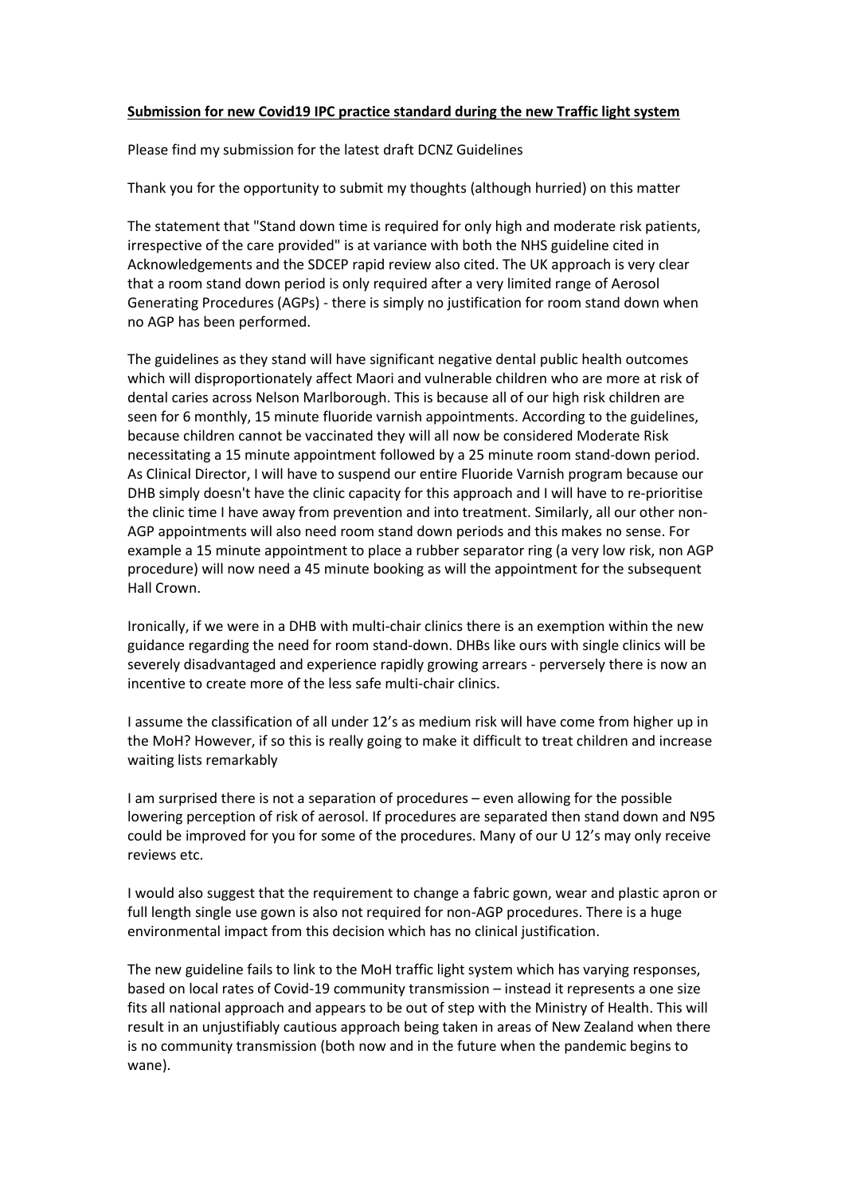## **Submission for new Covid19 IPC practice standard during the new Traffic light system**

Please find my submission for the latest draft DCNZ Guidelines

Thank you for the opportunity to submit my thoughts (although hurried) on this matter

The statement that "Stand down time is required for only high and moderate risk patients, irrespective of the care provided" is at variance with both the NHS guideline cited in Acknowledgements and the SDCEP rapid review also cited. The UK approach is very clear that a room stand down period is only required after a very limited range of Aerosol Generating Procedures (AGPs) - there is simply no justification for room stand down when no AGP has been performed.

The guidelines as they stand will have significant negative dental public health outcomes which will disproportionately affect Maori and vulnerable children who are more at risk of dental caries across Nelson Marlborough. This is because all of our high risk children are seen for 6 monthly, 15 minute fluoride varnish appointments. According to the guidelines, because children cannot be vaccinated they will all now be considered Moderate Risk necessitating a 15 minute appointment followed by a 25 minute room stand-down period. As Clinical Director, I will have to suspend our entire Fluoride Varnish program because our DHB simply doesn't have the clinic capacity for this approach and I will have to re-prioritise the clinic time I have away from prevention and into treatment. Similarly, all our other non-AGP appointments will also need room stand down periods and this makes no sense. For example a 15 minute appointment to place a rubber separator ring (a very low risk, non AGP procedure) will now need a 45 minute booking as will the appointment for the subsequent Hall Crown.

Ironically, if we were in a DHB with multi-chair clinics there is an exemption within the new guidance regarding the need for room stand-down. DHBs like ours with single clinics will be severely disadvantaged and experience rapidly growing arrears - perversely there is now an incentive to create more of the less safe multi-chair clinics.

I assume the classification of all under 12's as medium risk will have come from higher up in the MoH? However, if so this is really going to make it difficult to treat children and increase waiting lists remarkably

I am surprised there is not a separation of procedures – even allowing for the possible lowering perception of risk of aerosol. If procedures are separated then stand down and N95 could be improved for you for some of the procedures. Many of our U 12's may only receive reviews etc.

I would also suggest that the requirement to change a fabric gown, wear and plastic apron or full length single use gown is also not required for non-AGP procedures. There is a huge environmental impact from this decision which has no clinical justification.

The new guideline fails to link to the MoH traffic light system which has varying responses, based on local rates of Covid-19 community transmission – instead it represents a one size fits all national approach and appears to be out of step with the Ministry of Health. This will result in an unjustifiably cautious approach being taken in areas of New Zealand when there is no community transmission (both now and in the future when the pandemic begins to wane).